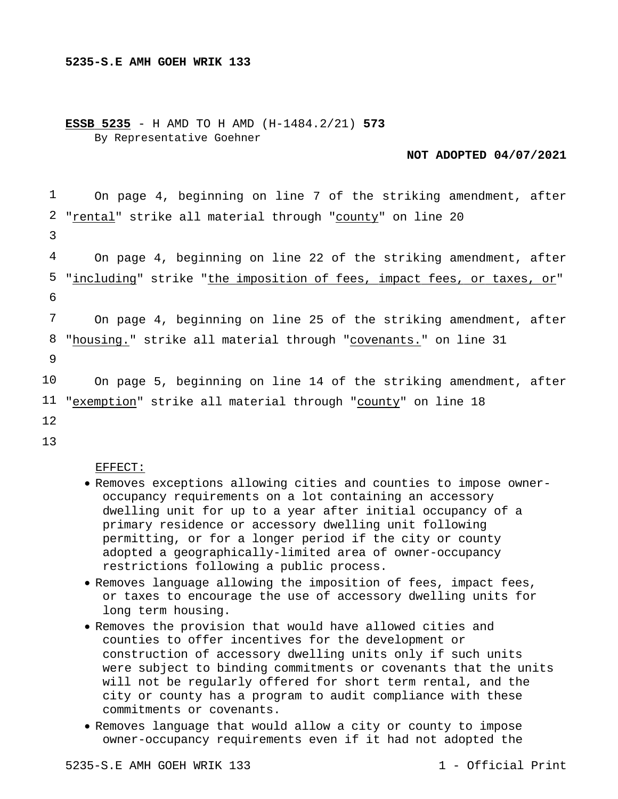**ESSB 5235** - H AMD TO H AMD (H-1484.2/21) **573** By Representative Goehner

**NOT ADOPTED 04/07/2021**

1 2 3 4 5 6 7 8 9 10 11 "exemption" strike all material through "county" on line 18 12 13 On page 4, beginning on line 7 of the striking amendment, after "rental" strike all material through "county" on line 20 On page 4, beginning on line 22 of the striking amendment, after "including" strike "the imposition of fees, impact fees, or taxes, or" On page 4, beginning on line 25 of the striking amendment, after "housing." strike all material through "covenants." on line 31 On page 5, beginning on line 14 of the striking amendment, after

EFFECT:

- Removes exceptions allowing cities and counties to impose owneroccupancy requirements on a lot containing an accessory dwelling unit for up to a year after initial occupancy of a primary residence or accessory dwelling unit following permitting, or for a longer period if the city or county adopted a geographically-limited area of owner-occupancy restrictions following a public process.
- Removes language allowing the imposition of fees, impact fees, or taxes to encourage the use of accessory dwelling units for long term housing.
- Removes the provision that would have allowed cities and counties to offer incentives for the development or construction of accessory dwelling units only if such units were subject to binding commitments or covenants that the units will not be regularly offered for short term rental, and the city or county has a program to audit compliance with these commitments or covenants.
- Removes language that would allow a city or county to impose owner-occupancy requirements even if it had not adopted the